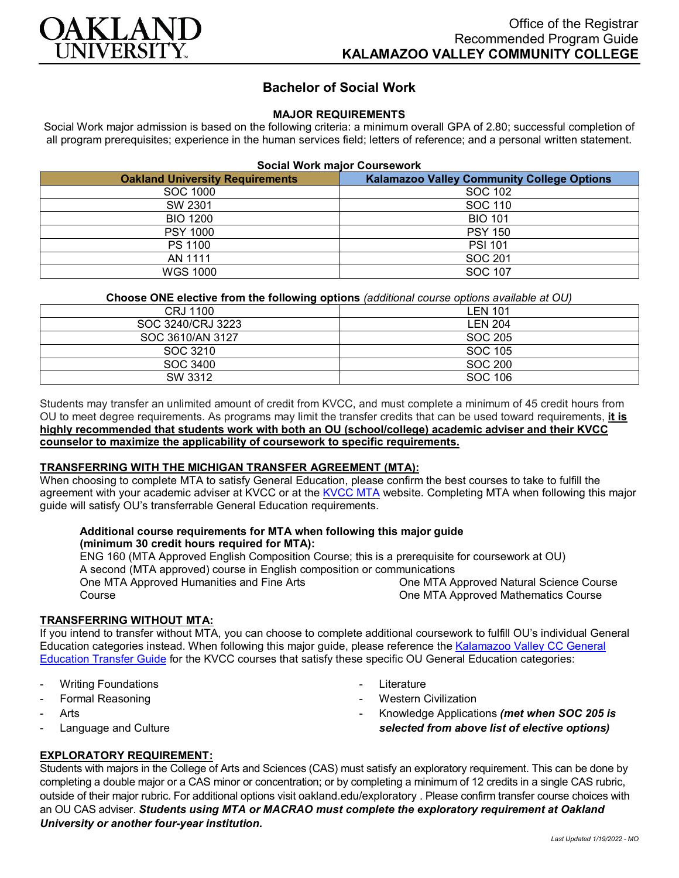

# **Bachelor of Social Work**

## **MAJOR REQUIREMENTS**

Social Work major admission is based on the following criteria: a minimum overall GPA of 2.80; successful completion of all program prerequisites; experience in the human services field; letters of reference; and a personal written statement.

#### **Social Work major Coursework**

| <b>Oakland University Requirements</b> | <b>Kalamazoo Valley Community College Options</b> |
|----------------------------------------|---------------------------------------------------|
| SOC 1000                               | SOC 102                                           |
| SW 2301                                | SOC 110                                           |
| <b>BIO 1200</b>                        | <b>BIO 101</b>                                    |
| <b>PSY 1000</b>                        | <b>PSY 150</b>                                    |
| PS 1100                                | <b>PSI 101</b>                                    |
| AN 1111                                | SOC 201                                           |
| WGS 1000                               | SOC 107                                           |

### **Choose ONE elective from the following options** *(additional course options available at OU)*

| LEN 101        |
|----------------|
| <b>LEN 204</b> |
| SOC 205        |
| SOC 105        |
| SOC 200        |
| SOC 106        |
|                |

Students may transfer an unlimited amount of credit from KVCC, and must complete a minimum of 45 credit hours from OU to meet degree requirements. As programs may limit the transfer credits that can be used toward requirements, **it is highly recommended that students work with both an OU (school/college) academic adviser and their KVCC counselor to maximize the applicability of coursework to specific requirements.**

#### **TRANSFERRING WITH THE MICHIGAN TRANSFER AGREEMENT (MTA):**

When choosing to complete MTA to satisfy General Education, please confirm the best courses to take to fulfill the agreement with your academic adviser at KVCC or at the [KVCC MTA](https://kvcc.smartcatalogiq.com/2020-2021/Catalog/Programs-of-Study-by-Pathway/General-Transfer-Program-Information/Michigan-Transfer-Agreement) website. Completing MTA when following this major guide will satisfy OU's transferrable General Education requirements.

#### **Additional course requirements for MTA when following this major guide (minimum 30 credit hours required for MTA):**

ENG 160 (MTA Approved English Composition Course; this is a prerequisite for coursework at OU) A second (MTA approved) course in English composition or communications One MTA Approved Humanities and Fine Arts Course One MTA Approved Natural Science Course One MTA Approved Mathematics Course

#### **TRANSFERRING WITHOUT MTA:**

If you intend to transfer without MTA, you can choose to complete additional coursework to fulfill OU's individual General Education categories instead. When following this major guide, please reference the [Kalamazoo Valley CC General](https://www.oakland.edu/Assets/Oakland/program-guides/kalamazoo-valley-community-college/university-general-education-requirements/Kalamazoo%20Valley%20Gen%20Ed.pdf)  [Education Transfer Guide](https://www.oakland.edu/Assets/Oakland/program-guides/kalamazoo-valley-community-college/university-general-education-requirements/Kalamazoo%20Valley%20Gen%20Ed.pdf) for the KVCC courses that satisfy these specific OU General Education categories:

- **Writing Foundations**
- Formal Reasoning
- **Arts**
- Language and Culture
- **Literature**
- **Western Civilization**
- Knowledge Applications *(met when SOC 205 is selected from above list of elective options)*

# **EXPLORATORY REQUIREMENT:**

Students with majors in the College of Arts and Sciences (CAS) must satisfy an exploratory requirement. This can be done by completing a double major or a CAS minor or concentration; or by completing a minimum of 12 credits in a single CAS rubric, outside of their major rubric. For additional options visit [oakland.edu/exploratory](http://www.oakland.edu/exploratory) . Please confirm transfer course choices with an OU CAS adviser. *Students using MTA or MACRAO must complete the exploratory requirement at Oakland University or another four-year institution.*